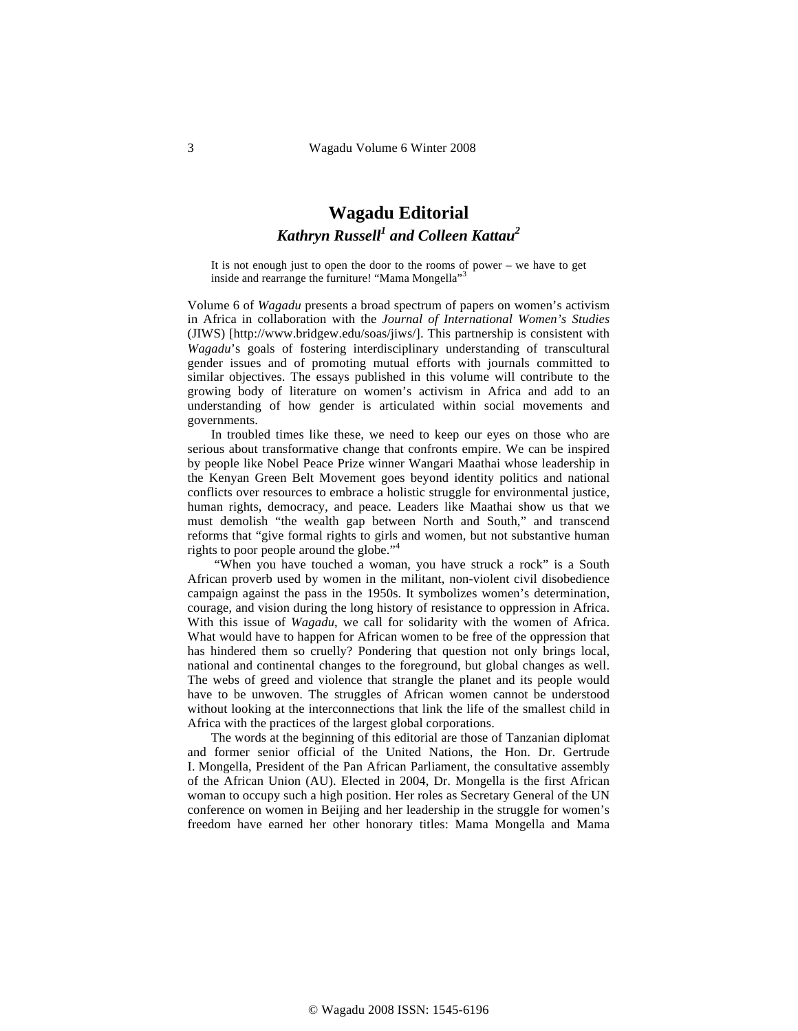## **Wagadu Editorial**   $K$ *athryn Russell<sup>1</sup> and Colleen Kattau<sup>2</sup>*

It is not enough just to open the door to the rooms of power – we have to get inside and rearrange the furniture! "Mama Mongella"<sup>3</sup>

Volume 6 of *Wagadu* presents a broad spectrum of papers on women's activism in Africa in collaboration with the *Journal of International Women's Studies* (JIWS) [http://www.bridgew.edu/soas/jiws/]. This partnership is consistent with *Wagadu*'s goals of fostering interdisciplinary understanding of transcultural gender issues and of promoting mutual efforts with journals committed to similar objectives. The essays published in this volume will contribute to the growing body of literature on women's activism in Africa and add to an understanding of how gender is articulated within social movements and governments.

In troubled times like these, we need to keep our eyes on those who are serious about transformative change that confronts empire. We can be inspired by people like Nobel Peace Prize winner Wangari Maathai whose leadership in the Kenyan Green Belt Movement goes beyond identity politics and national conflicts over resources to embrace a holistic struggle for environmental justice, human rights, democracy, and peace. Leaders like Maathai show us that we must demolish "the wealth gap between North and South," and transcend reforms that "give formal rights to girls and women, but not substantive human rights to poor people around the globe."<sup>4</sup>

 "When you have touched a woman, you have struck a rock" is a South African proverb used by women in the militant, non-violent civil disobedience campaign against the pass in the 1950s. It symbolizes women's determination, courage, and vision during the long history of resistance to oppression in Africa. With this issue of *Wagadu*, we call for solidarity with the women of Africa. What would have to happen for African women to be free of the oppression that has hindered them so cruelly? Pondering that question not only brings local, national and continental changes to the foreground, but global changes as well. The webs of greed and violence that strangle the planet and its people would have to be unwoven. The struggles of African women cannot be understood without looking at the interconnections that link the life of the smallest child in Africa with the practices of the largest global corporations.

The words at the beginning of this editorial are those of Tanzanian diplomat and former senior official of the United Nations, the Hon. Dr. Gertrude I. Mongella, President of the Pan African Parliament, the consultative assembly of the African Union (AU). Elected in 2004, Dr. Mongella is the first African woman to occupy such a high position. Her roles as Secretary General of the UN conference on women in Beijing and her leadership in the struggle for women's freedom have earned her other honorary titles: Mama Mongella and Mama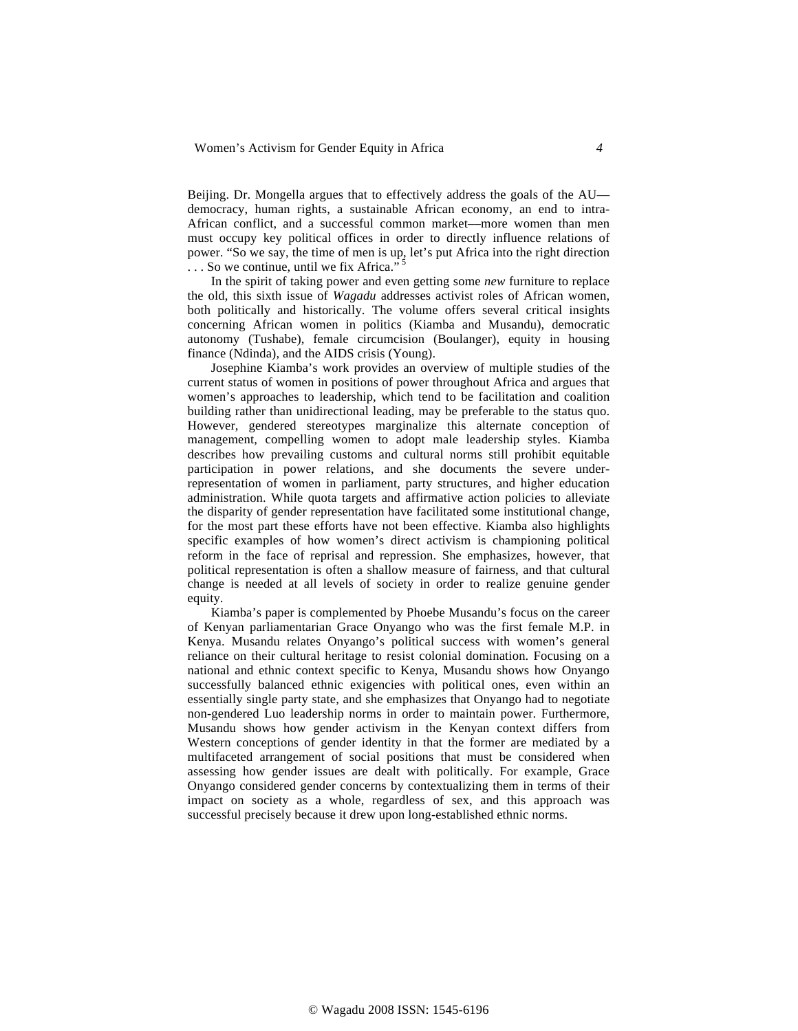Beijing. Dr. Mongella argues that to effectively address the goals of the AU democracy, human rights, a sustainable African economy, an end to intra-African conflict, and a successful common market––more women than men must occupy key political offices in order to directly influence relations of power. "So we say, the time of men is up, let's put Africa into the right direction  $\ldots$  So we continue, until we fix Africa.<sup>55</sup>

In the spirit of taking power and even getting some *new* furniture to replace the old, this sixth issue of *Wagadu* addresses activist roles of African women, both politically and historically. The volume offers several critical insights concerning African women in politics (Kiamba and Musandu), democratic autonomy (Tushabe), female circumcision (Boulanger), equity in housing finance (Ndinda), and the AIDS crisis (Young).

Josephine Kiamba's work provides an overview of multiple studies of the current status of women in positions of power throughout Africa and argues that women's approaches to leadership, which tend to be facilitation and coalition building rather than unidirectional leading, may be preferable to the status quo. However, gendered stereotypes marginalize this alternate conception of management, compelling women to adopt male leadership styles. Kiamba describes how prevailing customs and cultural norms still prohibit equitable participation in power relations, and she documents the severe underrepresentation of women in parliament, party structures, and higher education administration. While quota targets and affirmative action policies to alleviate the disparity of gender representation have facilitated some institutional change, for the most part these efforts have not been effective. Kiamba also highlights specific examples of how women's direct activism is championing political reform in the face of reprisal and repression. She emphasizes, however, that political representation is often a shallow measure of fairness, and that cultural change is needed at all levels of society in order to realize genuine gender equity.

Kiamba's paper is complemented by Phoebe Musandu's focus on the career of Kenyan parliamentarian Grace Onyango who was the first female M.P. in Kenya. Musandu relates Onyango's political success with women's general reliance on their cultural heritage to resist colonial domination. Focusing on a national and ethnic context specific to Kenya, Musandu shows how Onyango successfully balanced ethnic exigencies with political ones, even within an essentially single party state, and she emphasizes that Onyango had to negotiate non-gendered Luo leadership norms in order to maintain power. Furthermore, Musandu shows how gender activism in the Kenyan context differs from Western conceptions of gender identity in that the former are mediated by a multifaceted arrangement of social positions that must be considered when assessing how gender issues are dealt with politically. For example, Grace Onyango considered gender concerns by contextualizing them in terms of their impact on society as a whole, regardless of sex, and this approach was successful precisely because it drew upon long-established ethnic norms.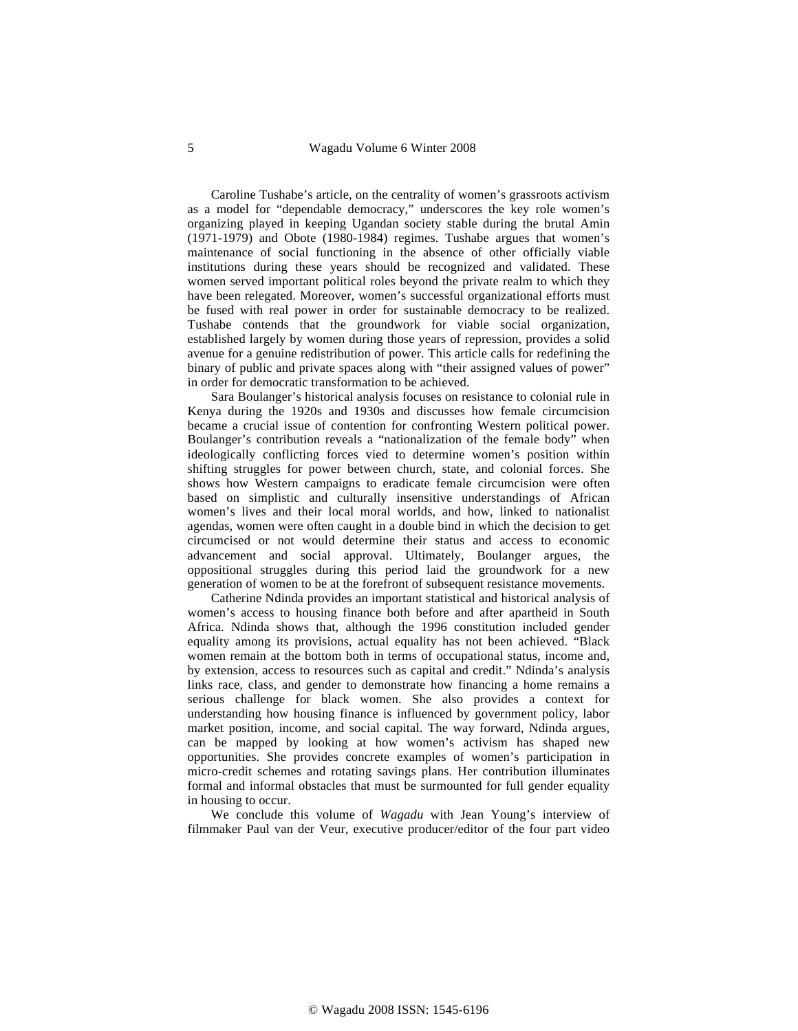Caroline Tushabe's article, on the centrality of women's grassroots activism as a model for "dependable democracy," underscores the key role women's organizing played in keeping Ugandan society stable during the brutal Amin (1971-1979) and Obote (1980-1984) regimes. Tushabe argues that women's maintenance of social functioning in the absence of other officially viable institutions during these years should be recognized and validated. These women served important political roles beyond the private realm to which they have been relegated. Moreover, women's successful organizational efforts must be fused with real power in order for sustainable democracy to be realized. Tushabe contends that the groundwork for viable social organization, established largely by women during those years of repression, provides a solid avenue for a genuine redistribution of power. This article calls for redefining the binary of public and private spaces along with "their assigned values of power" in order for democratic transformation to be achieved.

Sara Boulanger's historical analysis focuses on resistance to colonial rule in Kenya during the 1920s and 1930s and discusses how female circumcision became a crucial issue of contention for confronting Western political power. Boulanger's contribution reveals a "nationalization of the female body" when ideologically conflicting forces vied to determine women's position within shifting struggles for power between church, state, and colonial forces. She shows how Western campaigns to eradicate female circumcision were often based on simplistic and culturally insensitive understandings of African women's lives and their local moral worlds, and how, linked to nationalist agendas, women were often caught in a double bind in which the decision to get circumcised or not would determine their status and access to economic advancement and social approval. Ultimately, Boulanger argues, the oppositional struggles during this period laid the groundwork for a new generation of women to be at the forefront of subsequent resistance movements.

Catherine Ndinda provides an important statistical and historical analysis of women's access to housing finance both before and after apartheid in South Africa. Ndinda shows that, although the 1996 constitution included gender equality among its provisions, actual equality has not been achieved. "Black women remain at the bottom both in terms of occupational status, income and, by extension, access to resources such as capital and credit." Ndinda's analysis links race, class, and gender to demonstrate how financing a home remains a serious challenge for black women. She also provides a context for understanding how housing finance is influenced by government policy, labor market position, income, and social capital. The way forward, Ndinda argues, can be mapped by looking at how women's activism has shaped new opportunities. She provides concrete examples of women's participation in micro-credit schemes and rotating savings plans. Her contribution illuminates formal and informal obstacles that must be surmounted for full gender equality in housing to occur.

We conclude this volume of *Wagadu* with Jean Young's interview of filmmaker Paul van der Veur, executive producer/editor of the four part video